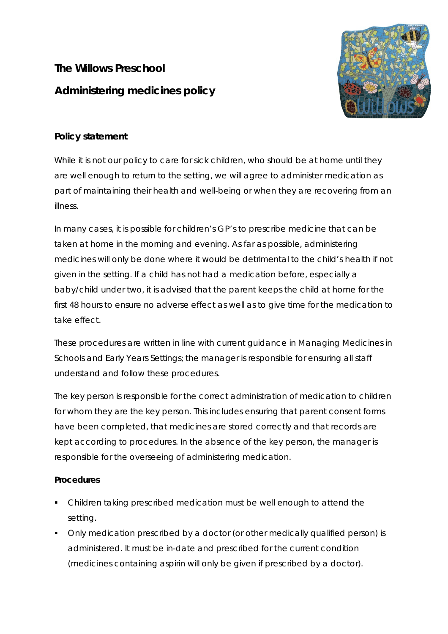**The Willows Preschool Administering medicines policy** 



# **Policy statement**

While it is not our policy to care for sick children, who should be at home until they are well enough to return to the setting, we will agree to administer medication as part of maintaining their health and well-being or when they are recovering from an illness.

In many cases, it is possible for children's GP's to prescribe medicine that can be taken at home in the morning and evening. As far as possible, administering medicines will only be done where it would be detrimental to the child's health if not given in the setting. If a child has not had a medication before, especially a baby/child under two, it is advised that the parent keeps the child at home for the first 48 hours to ensure no adverse effect as well as to give time for the medication to take effect.

These procedures are written in line with current guidance in *Managing Medicines in Schools and Early Years Settings*; the manager is responsible for ensuring all staff understand and follow these procedures.

The key person is responsible for the correct administration of medication to children for whom they are the key person. This includes ensuring that parent consent forms have been completed, that medicines are stored correctly and that records are kept according to procedures. In the absence of the key person, the manager is responsible for the overseeing of administering medication.

## **Procedures**

- Children taking prescribed medication must be well enough to attend the setting.
- Only medication prescribed by a doctor (or other medically qualified person) is administered. It must be in-date and prescribed for the current condition (medicines containing aspirin will only be given if prescribed by a doctor).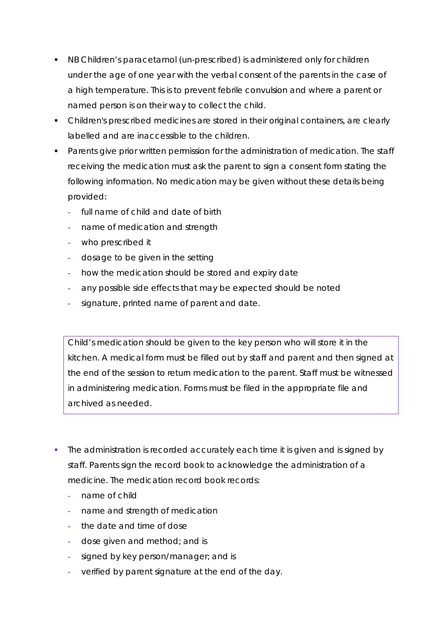- NB Children's paracetamol (un-prescribed) is administered only for children under the age of one year with the verbal consent of the parents in the case of a high temperature. This is to prevent febrile convulsion and where a parent or named person is on their way to collect the child.
- Children's prescribed medicines are stored in their original containers, are clearly labelled and are inaccessible to the children.
- **Parents give prior written permission for the administration of medication. The staff** receiving the medication must ask the parent to sign a consent form stating the following information. No medication may be given without these details being provided:
	- **-** full name of child and date of birth
	- **-** name of medication and strength
	- **-** who prescribed it
	- **-** dosage to be given in the setting
	- **-** how the medication should be stored and expiry date
	- **-** any possible side effects that may be expected should be noted
	- **-** signature, printed name of parent and date.

*Child's medication should be given to the key person who will store it in the kitchen. A medical form must be filled out by staff and parent and then signed at the end of the session to return medication to the parent. Staff must be witnessed in administering medication. Forms must be filed in the appropriate file and archived as needed.*

- The administration is recorded accurately each time it is given and is signed by staff. Parents sign the record book to acknowledge the administration of a medicine. The medication record book records:
	- **-** name of child
	- **-** name and strength of medication
	- **-** the date and time of dose
	- **-** dose given and method; and is
	- **-** signed by key person/manager; and is
	- **-** verified by parent signature at the end of the day.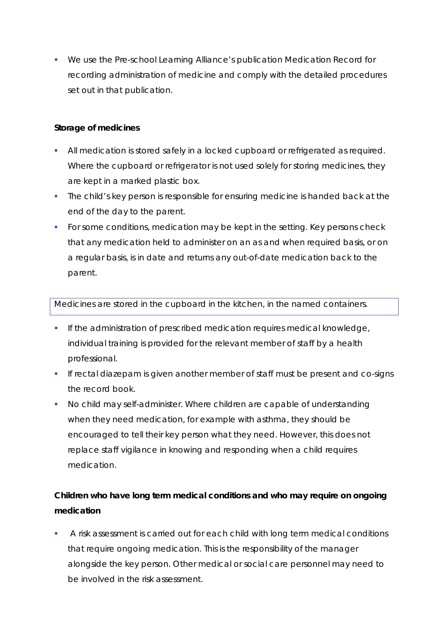We use the Pre-school Learning Alliance's publication *Medication Record* for recording administration of medicine and comply with the detailed procedures set out in that publication.

### **Storage of medicines**

- All medication is stored safely in a locked cupboard or refrigerated as required. Where the cupboard or refrigerator is not used solely for storing medicines, they are kept in a marked plastic box.
- The child's key person is responsible for ensuring medicine is handed back at the end of the day to the parent.
- For some conditions, medication may be kept in the setting. Key persons check that any medication held to administer on an as and when required basis, or on a regular basis, is in date and returns any out-of-date medication back to the parent.

#### *Medicines are stored in the cupboard in the kitchen, in the named containers.*

- **If the administration of prescribed medication requires medical knowledge,** individual training is provided for the relevant member of staff by a health professional.
- If rectal diazepam is given another member of staff must be present and co-signs the record book.
- No child may self-administer. Where children are capable of understanding when they need medication, for example with asthma, they should be encouraged to tell their key person what they need. However, this does not replace staff vigilance in knowing and responding when a child requires medication.

# **Children who have long term medical conditions and who may require on ongoing medication**

 A risk assessment is carried out for each child with long term medical conditions that require ongoing medication. This is the responsibility of the manager alongside the key person. Other medical or social care personnel may need to be involved in the risk assessment.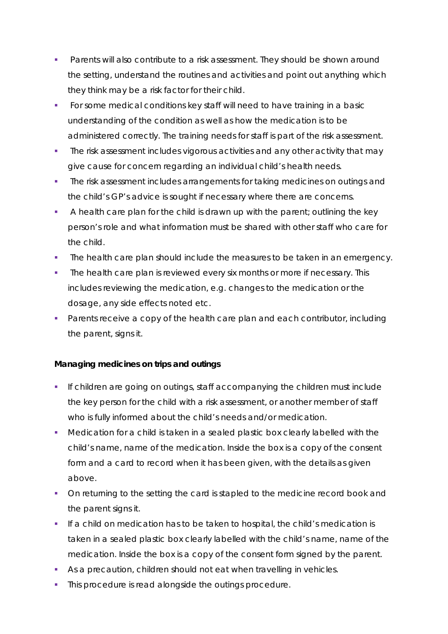- **Parents will also contribute to a risk assessment. They should be shown around** the setting, understand the routines and activities and point out anything which they think may be a risk factor for their child.
- For some medical conditions key staff will need to have training in a basic understanding of the condition as well as how the medication is to be administered correctly. The training needs for staff is part of the risk assessment.
- The risk assessment includes vigorous activities and any other activity that may give cause for concern regarding an individual child's health needs.
- **The risk assessment includes arrangements for taking medicines on outings and** the child's GP's advice is sought if necessary where there are concerns.
- A health care plan for the child is drawn up with the parent; outlining the key person's role and what information must be shared with other staff who care for the child.
- The health care plan should include the measures to be taken in an emergency.
- The health care plan is reviewed every six months or more if necessary. This includes reviewing the medication, e.g. changes to the medication or the dosage, any side effects noted etc.
- Parents receive a copy of the health care plan and each contributor, including the parent, signs it.

## **Managing medicines on trips and outings**

- If children are going on outings, staff accompanying the children must include the key person for the child with a risk assessment, or another member of staff who is fully informed about the child's needs and/or medication.
- Medication for a child is taken in a sealed plastic box clearly labelled with the child's name, name of the medication. Inside the box is a copy of the consent form and a card to record when it has been given, with the details as given above.
- On returning to the setting the card is stapled to the medicine record book and the parent signs it.
- If a child on medication has to be taken to hospital, the child's medication is taken in a sealed plastic box clearly labelled with the child's name, name of the medication. Inside the box is a copy of the consent form signed by the parent.
- As a precaution, children should not eat when travelling in vehicles.
- This procedure is read alongside the outings procedure.